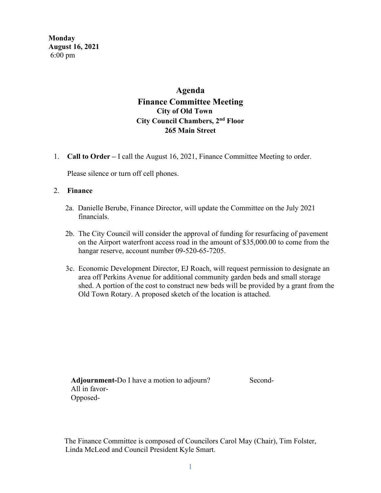**Monday August 16, 2021**  6:00 pm

# **Agenda Finance Committee Meeting City of Old Town City Council Chambers, 2nd Floor 265 Main Street**

1. **Call to Order –** I call the August 16, 2021, Finance Committee Meeting to order.

Please silence or turn off cell phones.

#### 2. **Finance**

- 2a. Danielle Berube, Finance Director, will update the Committee on the July 2021 financials.
- 2b. The City Council will consider the approval of funding for resurfacing of pavement on the Airport waterfront access road in the amount of \$35,000.00 to come from the hangar reserve, account number 09-520-65-7205.
- 3c. Economic Development Director, EJ Roach, will request permission to designate an area off Perkins Avenue for additional community garden beds and small storage shed. A portion of the cost to construct new beds will be provided by a grant from the Old Town Rotary. A proposed sketch of the location is attached.

Adjournment-Do I have a motion to adjourn? Second- All in favor- Opposed-

The Finance Committee is composed of Councilors Carol May (Chair), Tim Folster, Linda McLeod and Council President Kyle Smart.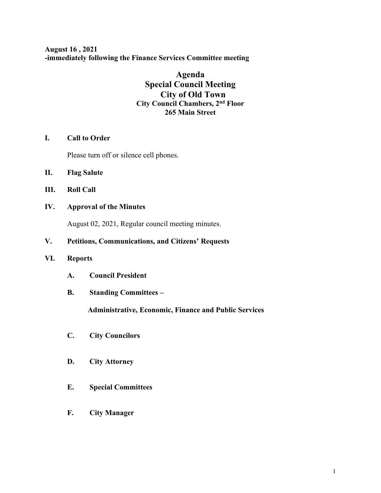**August 16 , 2021 -immediately following the Finance Services Committee meeting**

## **Agenda Special Council Meeting City of Old Town City Council Chambers, 2nd Floor 265 Main Street**

## **I. Call to Order**

Please turn off or silence cell phones.

- **II. Flag Salute**
- **III. Roll Call**
- **IV. Approval of the Minutes**

August 02, 2021, Regular council meeting minutes.

## **V. Petitions, Communications, and Citizens' Requests**

#### **VI. Reports**

- **A. Council President**
- **B. Standing Committees –**

 **Administrative, Economic, Finance and Public Services**

- **C. City Councilors**
- **D. City Attorney**
- **E. Special Committees**
- **F. City Manager**